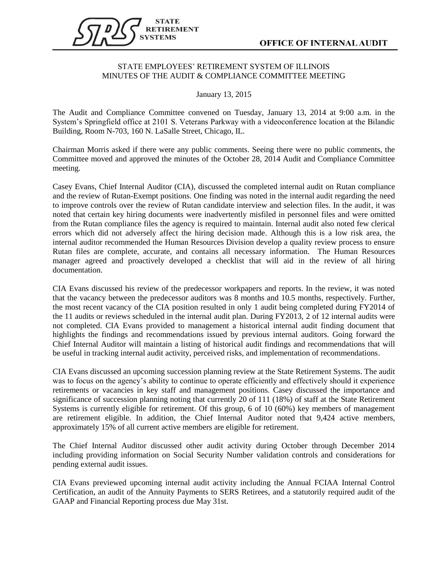

## STATE EMPLOYEES' RETIREMENT SYSTEM OF ILLINOIS MINUTES OF THE AUDIT & COMPLIANCE COMMITTEE MEETING

January 13, 2015

The Audit and Compliance Committee convened on Tuesday, January 13, 2014 at 9:00 a.m. in the System's Springfield office at 2101 S. Veterans Parkway with a videoconference location at the Bilandic Building, Room N-703, 160 N. LaSalle Street, Chicago, IL.

Chairman Morris asked if there were any public comments. Seeing there were no public comments, the Committee moved and approved the minutes of the October 28, 2014 Audit and Compliance Committee meeting.

Casey Evans, Chief Internal Auditor (CIA), discussed the completed internal audit on Rutan compliance and the review of Rutan-Exempt positions. One finding was noted in the internal audit regarding the need to improve controls over the review of Rutan candidate interview and selection files. In the audit, it was noted that certain key hiring documents were inadvertently misfiled in personnel files and were omitted from the Rutan compliance files the agency is required to maintain. Internal audit also noted few clerical errors which did not adversely affect the hiring decision made. Although this is a low risk area, the internal auditor recommended the Human Resources Division develop a quality review process to ensure Rutan files are complete, accurate, and contains all necessary information. The Human Resources manager agreed and proactively developed a checklist that will aid in the review of all hiring documentation.

CIA Evans discussed his review of the predecessor workpapers and reports. In the review, it was noted that the vacancy between the predecessor auditors was 8 months and 10.5 months, respectively. Further, the most recent vacancy of the CIA position resulted in only 1 audit being completed during FY2014 of the 11 audits or reviews scheduled in the internal audit plan. During FY2013, 2 of 12 internal audits were not completed. CIA Evans provided to management a historical internal audit finding document that highlights the findings and recommendations issued by previous internal auditors. Going forward the Chief Internal Auditor will maintain a listing of historical audit findings and recommendations that will be useful in tracking internal audit activity, perceived risks, and implementation of recommendations.

CIA Evans discussed an upcoming succession planning review at the State Retirement Systems. The audit was to focus on the agency's ability to continue to operate efficiently and effectively should it experience retirements or vacancies in key staff and management positions. Casey discussed the importance and significance of succession planning noting that currently 20 of 111 (18%) of staff at the State Retirement Systems is currently eligible for retirement. Of this group, 6 of 10 (60%) key members of management are retirement eligible. In addition, the Chief Internal Auditor noted that 9,424 active members, approximately 15% of all current active members are eligible for retirement.

The Chief Internal Auditor discussed other audit activity during October through December 2014 including providing information on Social Security Number validation controls and considerations for pending external audit issues.

CIA Evans previewed upcoming internal audit activity including the Annual FCIAA Internal Control Certification, an audit of the Annuity Payments to SERS Retirees, and a statutorily required audit of the GAAP and Financial Reporting process due May 31st.